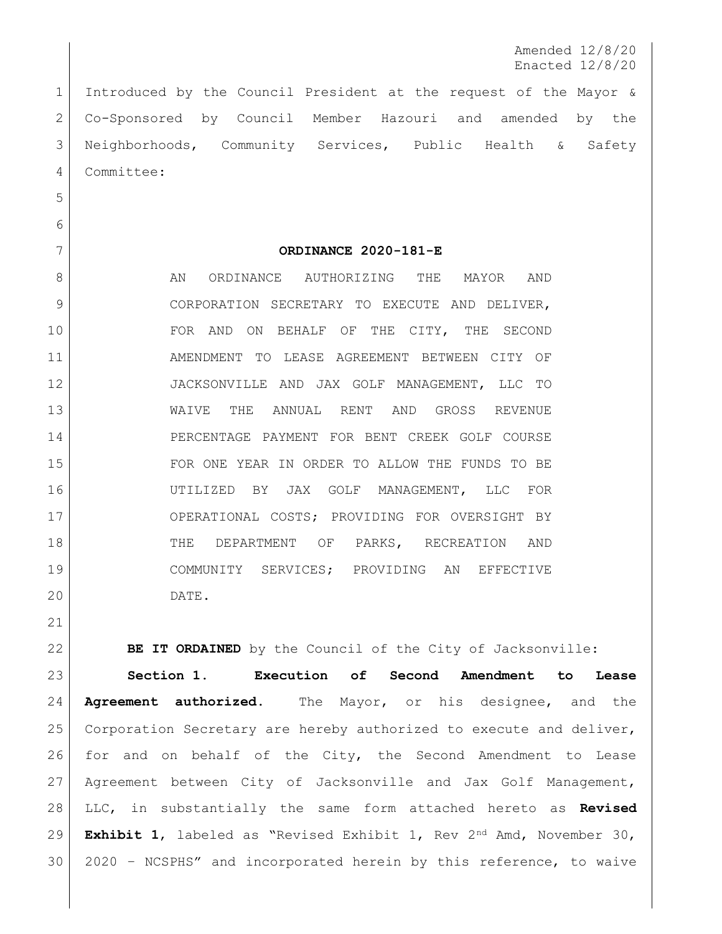Amended 12/8/20 Enacted 12/8/20

 Introduced by the Council President at the request of the Mayor & Co-Sponsored by Council Member Hazouri and amended by the Neighborhoods, Community Services, Public Health & Safety Committee:

**ORDINANCE 2020-181-E**

8 AN ORDINANCE AUTHORIZING THE MAYOR AND 9 CORPORATION SECRETARY TO EXECUTE AND DELIVER, 10 FOR AND ON BEHALF OF THE CITY, THE SECOND AMENDMENT TO LEASE AGREEMENT BETWEEN CITY OF JACKSONVILLE AND JAX GOLF MANAGEMENT, LLC TO WAIVE THE ANNUAL RENT AND GROSS REVENUE PERCENTAGE PAYMENT FOR BENT CREEK GOLF COURSE FOR ONE YEAR IN ORDER TO ALLOW THE FUNDS TO BE UTILIZED BY JAX GOLF MANAGEMENT, LLC FOR 17 OPERATIONAL COSTS; PROVIDING FOR OVERSIGHT BY 18 | THE DEPARTMENT OF PARKS, RECREATION AND COMMUNITY SERVICES; PROVIDING AN EFFECTIVE DATE.

**BE IT ORDAINED** by the Council of the City of Jacksonville:

 **Section 1. Execution of Second Amendment to Lease Agreement authorized**. The Mayor, or his designee, and the Corporation Secretary are hereby authorized to execute and deliver, for and on behalf of the City, the Second Amendment to Lease Agreement between City of Jacksonville and Jax Golf Management, LLC, in substantially the same form attached hereto as **Revised Exhibit 1**, labeled as "Revised Exhibit 1, Rev 2nd Amd, November 30, 2020 – NCSPHS" and incorporated herein by this reference, to waive